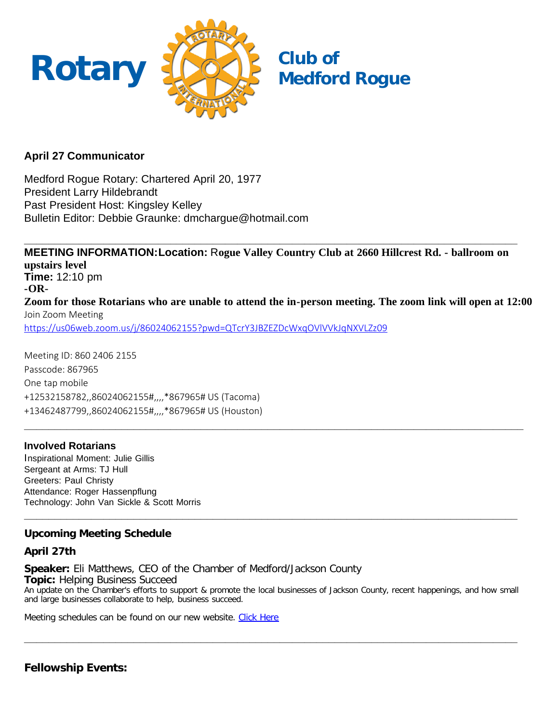

## **April 27 Communicator**

Medford Rogue Rotary: Chartered April 20, 1977 President Larry Hildebrandt Past President Host: Kingsley Kelley Bulletin Editor: Debbie Graunke: dmchargue@hotmail.com

**MEETING INFORMATION:Location:** R**ogue Valley Country Club at 2660 Hillcrest Rd. - ballroom on upstairs level Time:** 12:10 pm **-OR-Zoom for those Rotarians who are unable to attend the in-person meeting. The zoom link will open at 12:00** Join Zoom Meeting <https://us06web.zoom.us/j/86024062155?pwd=QTcrY3JBZEZDcWxqOVlVVkJqNXVLZz09>

**\_\_\_\_\_\_\_\_\_\_\_\_\_\_\_\_\_\_\_\_\_\_\_\_\_\_\_\_\_\_\_\_\_\_\_\_\_\_\_\_\_\_\_\_\_\_\_\_\_\_\_\_\_\_\_\_\_\_\_\_\_\_\_\_\_\_\_\_\_\_\_\_\_\_\_\_\_\_\_\_\_\_**

**\_\_\_\_\_\_\_\_\_\_\_\_\_\_\_\_\_\_\_\_\_\_\_\_\_\_\_\_\_\_\_\_\_\_\_\_\_\_\_\_\_\_\_\_\_\_\_\_\_\_\_\_\_\_\_\_\_\_\_\_\_\_\_\_\_\_\_\_\_\_\_\_\_\_\_\_\_\_\_\_\_**

Meeting ID: 860 2406 2155 Passcode: 867965 One tap mobile +12532158782,,86024062155#,,,,\*867965# US (Tacoma) +13462487799,,86024062155#,,,,\*867965# US (Houston)

## **Involved Rotarians**

Inspirational Moment: Julie Gillis Sergeant at Arms: TJ Hull Greeters: Paul Christy Attendance: Roger Hassenpflung Technology: John Van Sickle & Scott Morris

## **Upcoming Meeting Schedule**

## **April 27th**

**Speaker:** Eli Matthews, CEO of the Chamber of Medford/Jackson County **Topic:** Helping Business Succeed An update on the Chamber's efforts to support & promote the local businesses of Jackson County, recent happenings, and how small and large businesses collaborate to help, business succeed.

**\_\_\_\_\_\_\_\_\_\_\_\_\_\_\_\_\_\_\_\_\_\_\_\_\_\_\_\_\_\_\_\_\_\_\_\_\_\_\_\_\_\_\_\_\_\_\_\_\_\_\_\_\_\_\_\_\_\_\_\_\_\_\_\_\_\_\_\_\_\_\_\_\_\_\_\_\_\_\_\_\_**

**\_\_\_\_\_\_\_\_\_\_\_\_\_\_\_\_\_\_\_\_\_\_\_\_\_\_\_\_\_\_\_\_\_\_\_\_\_\_\_\_\_\_\_\_\_\_\_\_\_\_\_\_\_\_\_\_\_\_\_\_\_\_\_\_\_\_\_\_\_\_\_\_\_\_\_\_\_\_\_\_\_**

Meeting schedules can be found on our new website. [Click Here](https://medfordrogue.org/)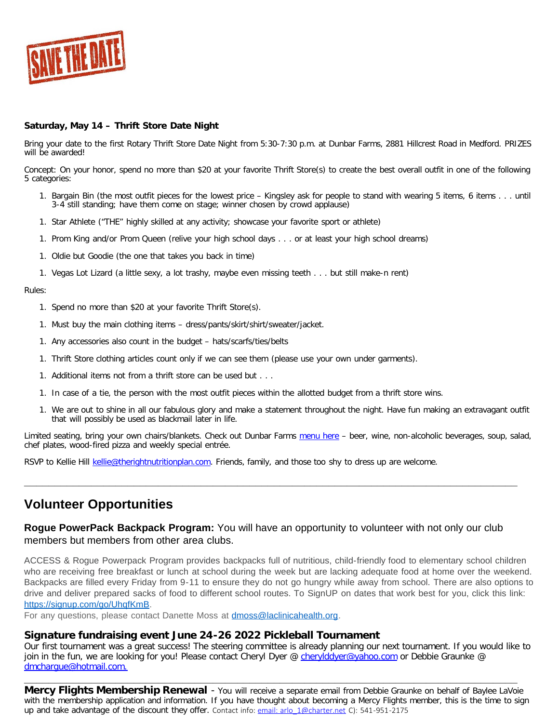

#### **Saturday, May 14 – Thrift Store Date Night**

Bring your date to the first Rotary Thrift Store Date Night from 5:30-7:30 p.m. at Dunbar Farms, 2881 Hillcrest Road in Medford. PRIZES will be awarded!

Concept: On your honor, spend no more than \$20 at your favorite Thrift Store(s) to create the best overall outfit in one of the following 5 categories:

- 1. Bargain Bin (the most outfit pieces for the lowest price Kingsley ask for people to stand with wearing 5 items, 6 items . . . until 3-4 still standing; have them come on stage; winner chosen by crowd applause)
- 1. Star Athlete ("THE" highly skilled at any activity; showcase your favorite sport or athlete)
- 1. Prom King and/or Prom Queen (relive your high school days . . . or at least your high school dreams)
- 1. Oldie but Goodie (the one that takes you back in time)
- 1. Vegas Lot Lizard (a little sexy, a lot trashy, maybe even missing teeth . . . but still make-n rent)

#### Rules:

- 1. Spend no more than \$20 at your favorite Thrift Store(s).
- 1. Must buy the main clothing items dress/pants/skirt/shirt/sweater/jacket.
- 1. Any accessories also count in the budget hats/scarfs/ties/belts
- 1. Thrift Store clothing articles count only if we can see them (please use your own under garments).
- 1. Additional items not from a thrift store can be used but . . .
- 1. In case of a tie, the person with the most outfit pieces within the allotted budget from a thrift store wins.
- 1. We are out to shine in all our fabulous glory and make a statement throughout the night. Have fun making an extravagant outfit that will possibly be used as blackmail later in life.

Limited seating, bring your own chairs/blankets. Check out Dunbar Farms [menu here](mailto:https://www.dunbarfarms.com/menu) – beer, wine, non-alcoholic beverages, soup, salad, chef plates, wood-fired pizza and weekly special entrée.

**\_\_\_\_\_\_\_\_\_\_\_\_\_\_\_\_\_\_\_\_\_\_\_\_\_\_\_\_\_\_\_\_\_\_\_\_\_\_\_\_\_\_\_\_\_\_\_\_\_\_\_\_\_\_\_\_\_\_\_\_\_\_\_\_\_\_\_\_\_\_\_\_\_\_\_\_\_\_\_\_\_**

RSVP to Kellie Hill [kellie@therightnutritionplan.com.](mailto:kellie@therightnutritionplan.com) Friends, family, and those too shy to dress up are welcome.

# **Volunteer Opportunities**

### **Rogue PowerPack Backpack Program:** You will have an opportunity to volunteer with not only our club members but members from other area clubs.

ACCESS & Rogue Powerpack Program provides backpacks full of nutritious, child-friendly food to elementary school children who are receiving free breakfast or lunch at school during the week but are lacking adequate food at home over the weekend. Backpacks are filled every Friday from 9-11 to ensure they do not go hungry while away from school. There are also options to drive and deliver prepared sacks of food to different school routes. To SignUP on dates that work best for you, click this link: [https://signup.com/go/UhqfKmB.](https://signup.com/go/UhqfKmB)

For any questions, please contact Danette Moss at [dmoss@laclinicahealth.org.](mailto:dmoss@laclinicahealth.org)

#### **Signature fundraising event June 24-26 2022 Pickleball Tournament**

Our first tournament was a great success! The steering committee is already planning our next tournament. If you would like to join in the fun, we are looking for you! Please contact Cheryl Dyer @ [cherylddyer@yahoo.com](mailto:cherylddyer@yahoo.com) or Debbie Graunke @ [dmchargue@hotmail.com.](mailto:dmchargue@hotmail.com)

**\_\_\_\_\_\_\_\_\_\_\_\_\_\_\_\_\_\_\_\_\_\_\_\_\_\_\_\_\_\_\_\_\_\_\_\_\_\_\_\_\_\_\_\_\_\_\_\_\_\_\_\_\_\_\_\_\_\_\_\_\_\_\_\_\_\_\_\_\_\_\_\_\_\_\_\_\_\_\_\_\_ Mercy Flights Membership Renewal** - You will receive a separate email from Debbie Graunke on behalf of Baylee LaVoie with the membership application and information. If you have thought about becoming a Mercy Flights member, this is the time to sign up and take advantage of the discount they offer. Contact info: email: arlo 1@charter.net C): 541-951-2175